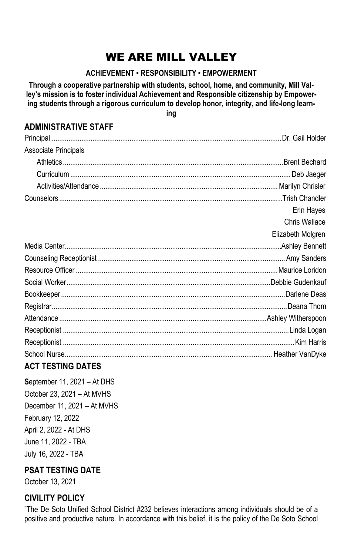# WE ARE MILL VALLEY

### **ACHIEVEMENT • RESPONSIBILITY • EMPOWERMENT**

**Through a cooperative partnership with students, school, home, and community, Mill Valley's mission is to foster individual Achievement and Responsible citizenship by Empowering students through a rigorous curriculum to develop honor, integrity, and life-long learn-**

**ing**

## **ADMINISTRATIVE STAFF**

| Associate Principals |                   |
|----------------------|-------------------|
|                      |                   |
|                      |                   |
|                      |                   |
|                      |                   |
|                      | Erin Hayes        |
|                      | Chris Wallace     |
|                      | Elizabeth Molgren |
|                      |                   |
|                      |                   |
|                      |                   |
|                      |                   |
|                      |                   |
|                      |                   |
|                      |                   |
|                      |                   |
|                      |                   |
|                      |                   |

## **ACT TESTING DATES**

**S**eptember 11, 2021 – At DHS October 23, 2021 – At MVHS December 11, 2021 – At MVHS February 12, 2022 April 2, 2022 - At DHS June 11, 2022 - TBA July 16, 2022 - TBA

## **PSAT TESTING DATE**

October 13, 2021

## **CIVILITY POLICY**

"The De Soto Unified School District #232 believes interactions among individuals should be of a positive and productive nature. In accordance with this belief, it is the policy of the De Soto School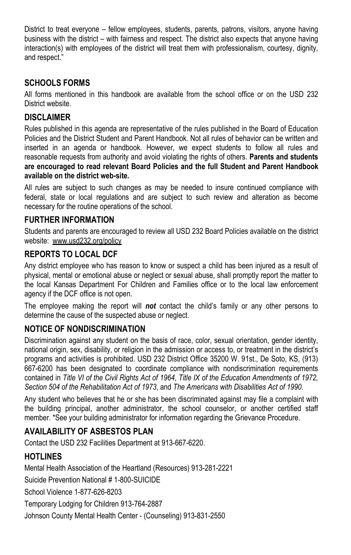District to treat everyone – fellow employees, students, parents, patrons, visitors, anyone having business with the district – with fairness and respect. The district also expects that anyone having interaction(s) with employees of the district will treat them with professionalism, courtesy, dignity, and respect."

### **SCHOOLS FORMS**

All forms mentioned in this handbook are available from the school office or on the USD 232 District website.

### **DISCLAIMER**

Rules published in this agenda are representative of the rules published in the Board of Education Policies and the District Student and Parent Handbook. Not all rules of behavior can be written and inserted in an agenda or handbook. However, we expect students to follow all rules and reasonable requests from authority and avoid violating the rights of others. **Parents and students are encouraged to read relevant Board Policies and the full Student and Parent Handbook available on the district web-site.**

All rules are subject to such changes as may be needed to insure continued compliance with federal, state or local regulations and are subject to such review and alteration as become necessary for the routine operations of the school.

### **FURTHER INFORMATION**

Students and parents are encouraged to review all USD 232 Board Policies available on the district website: www.usd232.org/policy

### **REPORTS TO LOCAL DCF**

Any district employee who has reason to know or suspect a child has been injured as a result of physical, mental or emotional abuse or neglect or sexual abuse, shall promptly report the matter to the local Kansas Department For Children and Families office or to the local law enforcement agency if the DCF office is not open.

The employee making the report will *not* contact the child's family or any other persons to determine the cause of the suspected abuse or neglect.

#### **NOTICE OF NONDISCRIMINATION**

Discrimination against any student on the basis of race, color, sexual orientation, gender identity, national origin, sex, disability, or religion in the admission or access to, or treatment in the district's programs and activities is prohibited. USD 232 District Office 35200 W. 91st., De Soto, KS, (913) 667-6200 has been designated to coordinate compliance with nondiscrimination requirements contained in *Title VI of the Civil Rights Act of 1964*, *Title IX of the Education Amendments of 1972, Section 504 of the Rehabilitation Act of 1973*, and *The Americans with Disabilities Act of 1990*.

Any student who believes that he or she has been discriminated against may file a complaint with the building principal, another administrator, the school counselor, or another certified staff member. \*See your building administrator for information regarding the Grievance Procedure.

### **AVAILABILITY OF ASBESTOS PLAN**

Contact the USD 232 Facilities Department at 913-667-6220.

### **HOTLINES**

Mental Health Association of the Heartland (Resources) 913-281-2221 Suicide Prevention National # 1-800-SUICIDE School Violence 1-877-626-8203 Temporary Lodging for Children 913-764-2887 Johnson County Mental Health Center - (Counseling) 913-831-2550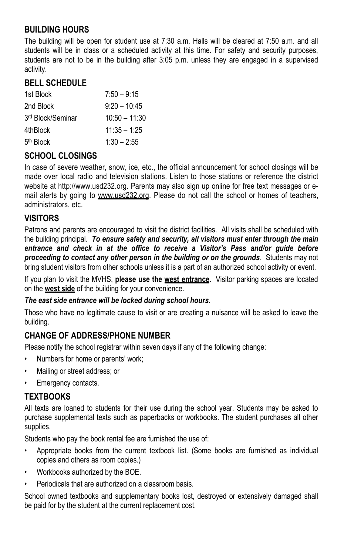### **BUILDING HOURS**

The building will be open for student use at 7:30 a.m. Halls will be cleared at 7:50 a.m. and all students will be in class or a scheduled activity at this time. For safety and security purposes, students are not to be in the building after 3:05 p.m. unless they are engaged in a supervised activity.

### **BELL SCHEDULE**

| 1st Block             | $7:50 - 9:15$   |
|-----------------------|-----------------|
| 2nd Block             | $9:20 - 10:45$  |
| 3rd Block/Seminar     | $10:50 - 11:30$ |
| 4thBlock              | $11:35 - 1:25$  |
| 5 <sup>th</sup> Block | $1:30 - 2:55$   |

### **SCHOOL CLOSINGS**

In case of severe weather, snow, ice, etc., the official announcement for school closings will be made over local radio and television stations. Listen to those stations or reference the district website at http://www.usd232.org. Parents may also sign up online for free text messages or email alerts by going to www.usd232.org. Please do not call the school or homes of teachers, administrators, etc.

### **VISITORS**

Patrons and parents are encouraged to visit the district facilities. All visits shall be scheduled with the building principal. *To ensure safety and security, all visitors must enter through the main*  entrance and check in at the office to receive a Visitor's Pass and/or quide before *proceeding to contact any other person in the building or on the grounds.* Students may not bring student visitors from other schools unless it is a part of an authorized school activity or event.

If you plan to visit the MVHS, **please use the west entrance**. Visitor parking spaces are located on the **west side** of the building for your convenience.

#### *The east side entrance will be locked during school hours*.

Those who have no legitimate cause to visit or are creating a nuisance will be asked to leave the building.

### **CHANGE OF ADDRESS/PHONE NUMBER**

Please notify the school registrar within seven days if any of the following change:

- Numbers for home or parents' work;
- Mailing or street address; or
- Emergency contacts.

#### **TEXTBOOKS**

All texts are loaned to students for their use during the school year. Students may be asked to purchase supplemental texts such as paperbacks or workbooks. The student purchases all other supplies.

Students who pay the book rental fee are furnished the use of:

- Appropriate books from the current textbook list. (Some books are furnished as individual copies and others as room copies.)
- Workbooks authorized by the BOE.
- Periodicals that are authorized on a classroom basis.

School owned textbooks and supplementary books lost, destroyed or extensively damaged shall be paid for by the student at the current replacement cost.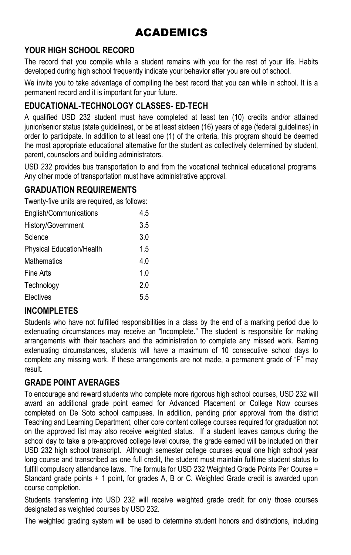# ACADEMICS

## **YOUR HIGH SCHOOL RECORD**

The record that you compile while a student remains with you for the rest of your life. Habits developed during high school frequently indicate your behavior after you are out of school.

We invite you to take advantage of compiling the best record that you can while in school. It is a permanent record and it is important for your future.

## **EDUCATIONAL-TECHNOLOGY CLASSES- ED-TECH**

A qualified USD 232 student must have completed at least ten (10) credits and/or attained junior/senior status (state guidelines), or be at least sixteen (16) years of age (federal guidelines) in order to participate. In addition to at least one (1) of the criteria, this program should be deemed the most appropriate educational alternative for the student as collectively determined by student, parent, counselors and building administrators.

USD 232 provides bus transportation to and from the vocational technical educational programs. Any other mode of transportation must have administrative approval.

### **GRADUATION REQUIREMENTS**

Twenty-five units are required, as follows:

| English/Communications           | 4.5 |
|----------------------------------|-----|
| History/Government               | 3.5 |
| Science                          | 3.0 |
| <b>Physical Education/Health</b> | 1.5 |
| <b>Mathematics</b>               | 4.0 |
| Fine Arts                        | 1.0 |
| Technology                       | 2.0 |
| Electives                        | 5.5 |

## **INCOMPLETES**

Students who have not fulfilled responsibilities in a class by the end of a marking period due to extenuating circumstances may receive an "Incomplete." The student is responsible for making arrangements with their teachers and the administration to complete any missed work. Barring extenuating circumstances, students will have a maximum of 10 consecutive school days to complete any missing work. If these arrangements are not made, a permanent grade of "F" may result.

## **GRADE POINT AVERAGES**

To encourage and reward students who complete more rigorous high school courses, USD 232 will award an additional grade point earned for Advanced Placement or College Now courses completed on De Soto school campuses. In addition, pending prior approval from the district Teaching and Learning Department, other core content college courses required for graduation not on the approved list may also receive weighted status. If a student leaves campus during the school day to take a pre-approved college level course, the grade earned will be included on their USD 232 high school transcript. Although semester college courses equal one high school year long course and transcribed as one full credit, the student must maintain fulltime student status to fulfill compulsory attendance laws. The formula for USD 232 Weighted Grade Points Per Course = Standard grade points + 1 point, for grades A, B or C. Weighted Grade credit is awarded upon course completion.

Students transferring into USD 232 will receive weighted grade credit for only those courses designated as weighted courses by USD 232.

The weighted grading system will be used to determine student honors and distinctions, including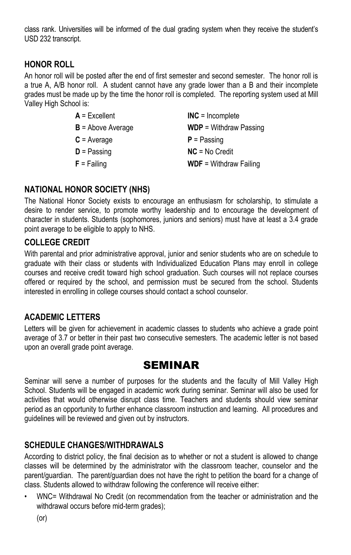class rank. Universities will be informed of the dual grading system when they receive the student's USD 232 transcript.

### **HONOR ROLL**

An honor roll will be posted after the end of first semester and second semester. The honor roll is a true A, A/B honor roll. A student cannot have any grade lower than a B and their incomplete grades must be made up by the time the honor roll is completed. The reporting system used at Mill Valley High School is:

| $A = Excellent$     | $INC = Incomplete$            |
|---------------------|-------------------------------|
| $B =$ Above Average | $WDP = Without Passing$       |
| $C = Average$       | $P =$ Passing                 |
| $D =$ Passing       | $NC = No Credit$              |
| $F =$ Failing       | <b>WDF</b> = Withdraw Failing |

### **NATIONAL HONOR SOCIETY (NHS)**

The National Honor Society exists to encourage an enthusiasm for scholarship, to stimulate a desire to render service, to promote worthy leadership and to encourage the development of character in students. Students (sophomores, juniors and seniors) must have at least a 3.4 grade point average to be eligible to apply to NHS.

### **COLLEGE CREDIT**

With parental and prior administrative approval, junior and senior students who are on schedule to graduate with their class or students with Individualized Education Plans may enroll in college courses and receive credit toward high school graduation. Such courses will not replace courses offered or required by the school, and permission must be secured from the school. Students interested in enrolling in college courses should contact a school counselor.

### **ACADEMIC LETTERS**

Letters will be given for achievement in academic classes to students who achieve a grade point average of 3.7 or better in their past two consecutive semesters. The academic letter is not based upon an overall grade point average.

## **SEMINAR**

Seminar will serve a number of purposes for the students and the faculty of Mill Valley High School. Students will be engaged in academic work during seminar. Seminar will also be used for activities that would otherwise disrupt class time. Teachers and students should view seminar period as an opportunity to further enhance classroom instruction and learning. All procedures and guidelines will be reviewed and given out by instructors.

### **SCHEDULE CHANGES/WITHDRAWALS**

According to district policy, the final decision as to whether or not a student is allowed to change classes will be determined by the administrator with the classroom teacher, counselor and the parent/guardian. The parent/guardian does not have the right to petition the board for a change of class. Students allowed to withdraw following the conference will receive either:

• WNC= Withdrawal No Credit (on recommendation from the teacher or administration and the withdrawal occurs before mid-term grades);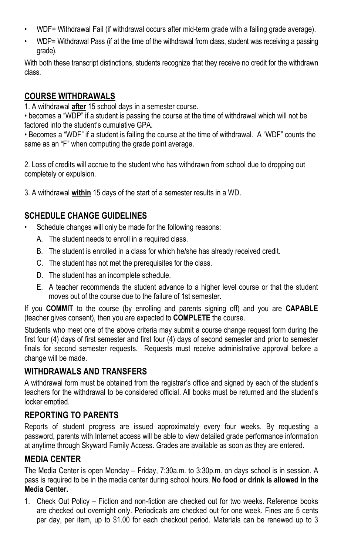- WDF= Withdrawal Fail (if withdrawal occurs after mid-term grade with a failing grade average).
- WDP= Withdrawal Pass (if at the time of the withdrawal from class, student was receiving a passing grade).

With both these transcript distinctions, students recognize that they receive no credit for the withdrawn class.

### **COURSE WITHDRAWALS**

1. A withdrawal **after** 15 school days in a semester course.

• becomes a "WDP" if a student is passing the course at the time of withdrawal which will not be factored into the student's cumulative GPA.

• Becomes a "WDF" if a student is failing the course at the time of withdrawal. A "WDF" counts the same as an "F" when computing the grade point average.

2. Loss of credits will accrue to the student who has withdrawn from school due to dropping out completely or expulsion.

3. A withdrawal **within** 15 days of the start of a semester results in a WD.

### **SCHEDULE CHANGE GUIDELINES**

- Schedule changes will only be made for the following reasons:
	- A. The student needs to enroll in a required class.
	- B. The student is enrolled in a class for which he/she has already received credit.
	- C. The student has not met the prerequisites for the class.
	- D. The student has an incomplete schedule.
	- E. A teacher recommends the student advance to a higher level course or that the student moves out of the course due to the failure of 1st semester.

If you **COMMIT** to the course (by enrolling and parents signing off) and you are **CAPABLE** (teacher gives consent), then you are expected to **COMPLETE** the course.

Students who meet one of the above criteria may submit a course change request form during the first four (4) days of first semester and first four (4) days of second semester and prior to semester finals for second semester requests. Requests must receive administrative approval before a change will be made.

#### **WITHDRAWALS AND TRANSFERS**

A withdrawal form must be obtained from the registrar's office and signed by each of the student's teachers for the withdrawal to be considered official. All books must be returned and the student's locker emptied.

### **REPORTING TO PARENTS**

Reports of student progress are issued approximately every four weeks. By requesting a password, parents with Internet access will be able to view detailed grade performance information at anytime through Skyward Family Access. Grades are available as soon as they are entered.

### **MEDIA CENTER**

The Media Center is open Monday – Friday, 7:30a.m. to 3:30p.m. on days school is in session. A pass is required to be in the media center during school hours. **No food or drink is allowed in the Media Center.**

1. Check Out Policy – Fiction and non-fiction are checked out for two weeks. Reference books are checked out overnight only. Periodicals are checked out for one week. Fines are 5 cents per day, per item, up to \$1.00 for each checkout period. Materials can be renewed up to 3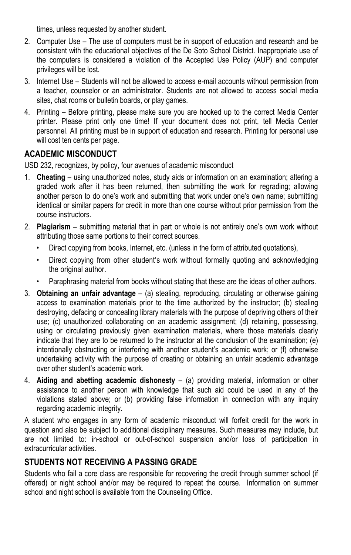times, unless requested by another student.

- 2. Computer Use The use of computers must be in support of education and research and be consistent with the educational objectives of the De Soto School District. Inappropriate use of the computers is considered a violation of the Accepted Use Policy (AUP) and computer privileges will be lost.
- 3. Internet Use Students will not be allowed to access e-mail accounts without permission from a teacher, counselor or an administrator. Students are not allowed to access social media sites, chat rooms or bulletin boards, or play games.
- 4. Printing Before printing, please make sure you are hooked up to the correct Media Center printer. Please print only one time! If your document does not print, tell Media Center personnel. All printing must be in support of education and research. Printing for personal use will cost ten cents per page.

### **ACADEMIC MISCONDUCT**

USD 232, recognizes, by policy, four avenues of academic misconduct

- 1. **Cheating** using unauthorized notes, study aids or information on an examination; altering a graded work after it has been returned, then submitting the work for regrading; allowing another person to do one's work and submitting that work under one's own name; submitting identical or similar papers for credit in more than one course without prior permission from the course instructors.
- 2. **Plagiarism** submitting material that in part or whole is not entirely one's own work without attributing those same portions to their correct sources.
	- Direct copying from books, Internet, etc. (unless in the form of attributed quotations),
	- Direct copying from other student's work without formally quoting and acknowledging the original author.
	- Paraphrasing material from books without stating that these are the ideas of other authors.
- 3. **Obtaining an unfair advantage** (a) stealing, reproducing, circulating or otherwise gaining access to examination materials prior to the time authorized by the instructor; (b) stealing destroying, defacing or concealing library materials with the purpose of depriving others of their use; (c) unauthorized collaborating on an academic assignment; (d) retaining, possessing, using or circulating previously given examination materials, where those materials clearly indicate that they are to be returned to the instructor at the conclusion of the examination; (e) intentionally obstructing or interfering with another student's academic work; or (f) otherwise undertaking activity with the purpose of creating or obtaining an unfair academic advantage over other student's academic work.
- 4. **Aiding and abetting academic dishonesty** (a) providing material, information or other assistance to another person with knowledge that such aid could be used in any of the violations stated above; or (b) providing false information in connection with any inquiry regarding academic integrity.

A student who engages in any form of academic misconduct will forfeit credit for the work in question and also be subject to additional disciplinary measures. Such measures may include, but are not limited to: in-school or out-of-school suspension and/or loss of participation in extracurricular activities.

#### **STUDENTS NOT RECEIVING A PASSING GRADE**

Students who fail a core class are responsible for recovering the credit through summer school (if offered) or night school and/or may be required to repeat the course. Information on summer school and night school is available from the Counseling Office.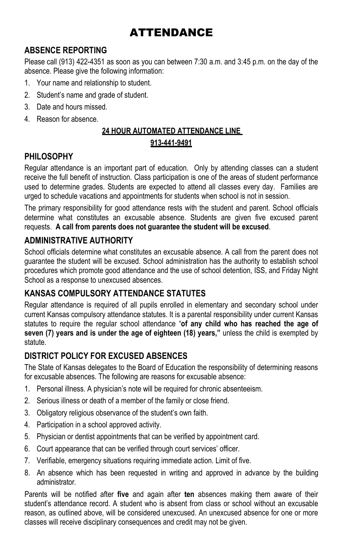# ATTENDANCE

## **ABSENCE REPORTING**

Please call (913) 422-4351 as soon as you can between 7:30 a.m. and 3:45 p.m. on the day of the absence. Please give the following information:

- 1. Your name and relationship to student.
- 2. Student's name and grade of student.
- 3. Date and hours missed.
- 4. Reason for absence.

## **24 HOUR AUTOMATED ATTENDANCE LINE 913-441-9491**

### **PHILOSOPHY**

Regular attendance is an important part of education. Only by attending classes can a student receive the full benefit of instruction. Class participation is one of the areas of student performance used to determine grades. Students are expected to attend all classes every day. Families are urged to schedule vacations and appointments for students when school is not in session.

The primary responsibility for good attendance rests with the student and parent. School officials determine what constitutes an excusable absence. Students are given five excused parent requests. **A call from parents does not guarantee the student will be excused**.

### **ADMINISTRATIVE AUTHORITY**

School officials determine what constitutes an excusable absence. A call from the parent does not guarantee the student will be excused. School administration has the authority to establish school procedures which promote good attendance and the use of school detention, ISS, and Friday Night School as a response to unexcused absences.

## **KANSAS COMPULSORY ATTENDANCE STATUTES**

Regular attendance is required of all pupils enrolled in elementary and secondary school under current Kansas compulsory attendance statutes. It is a parental responsibility under current Kansas statutes to require the regular school attendance "**of any child who has reached the age of seven (7) years and is under the age of eighteen (18) years,"** unless the child is exempted by statute.

### **DISTRICT POLICY FOR EXCUSED ABSENCES**

The State of Kansas delegates to the Board of Education the responsibility of determining reasons for excusable absences. The following are reasons for excusable absence:

- 1. Personal illness. A physician's note will be required for chronic absenteeism.
- 2. Serious illness or death of a member of the family or close friend.
- 3. Obligatory religious observance of the student's own faith.
- 4. Participation in a school approved activity.
- 5. Physician or dentist appointments that can be verified by appointment card.
- 6. Court appearance that can be verified through court services' officer.
- 7. Verifiable, emergency situations requiring immediate action. Limit of five.
- 8. An absence which has been requested in writing and approved in advance by the building administrator.

Parents will be notified after **five** and again after **ten** absences making them aware of their student's attendance record. A student who is absent from class or school without an excusable reason, as outlined above, will be considered unexcused. An unexcused absence for one or more classes will receive disciplinary consequences and credit may not be given.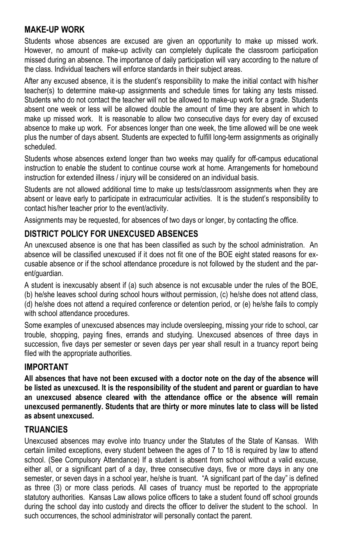#### **MAKE-UP WORK**

Students whose absences are excused are given an opportunity to make up missed work. However, no amount of make-up activity can completely duplicate the classroom participation missed during an absence. The importance of daily participation will vary according to the nature of the class. Individual teachers will enforce standards in their subject areas.

After any excused absence, it is the student's responsibility to make the initial contact with his/her teacher(s) to determine make-up assignments and schedule times for taking any tests missed. Students who do not contact the teacher will not be allowed to make-up work for a grade. Students absent one week or less will be allowed double the amount of time they are absent in which to make up missed work. It is reasonable to allow two consecutive days for every day of excused absence to make up work. For absences longer than one week, the time allowed will be one week plus the number of days absent. Students are expected to fulfill long-term assignments as originally scheduled.

Students whose absences extend longer than two weeks may qualify for off-campus educational instruction to enable the student to continue course work at home. Arrangements for homebound instruction for extended illness / injury will be considered on an individual basis.

Students are not allowed additional time to make up tests/classroom assignments when they are absent or leave early to participate in extracurricular activities. It is the student's responsibility to contact his/her teacher prior to the event/activity.

Assignments may be requested, for absences of two days or longer, by contacting the office.

## **DISTRICT POLICY FOR UNEXCUSED ABSENCES**

An unexcused absence is one that has been classified as such by the school administration. An absence will be classified unexcused if it does not fit one of the BOE eight stated reasons for excusable absence or if the school attendance procedure is not followed by the student and the parent/guardian.

A student is inexcusably absent if (a) such absence is not excusable under the rules of the BOE,

(b) he/she leaves school during school hours without permission, (c) he/she does not attend class, (d) he/she does not attend a required conference or detention period, or (e) he/she fails to comply with school attendance procedures.

Some examples of unexcused absences may include oversleeping, missing your ride to school, car trouble, shopping, paying fines, errands and studying. Unexcused absences of three days in succession, five days per semester or seven days per year shall result in a truancy report being filed with the appropriate authorities.

## **IMPORTANT**

**All absences that have not been excused with a doctor note on the day of the absence will be listed as unexcused. It is the responsibility of the student and parent or guardian to have an unexcused absence cleared with the attendance office or the absence will remain unexcused permanently. Students that are thirty or more minutes late to class will be listed as absent unexcused.**

### **TRUANCIES**

Unexcused absences may evolve into truancy under the Statutes of the State of Kansas. With certain limited exceptions, every student between the ages of 7 to 18 is required by law to attend school. (See Compulsory Attendance) If a student is absent from school without a valid excuse, either all, or a significant part of a day, three consecutive days, five or more days in any one semester, or seven days in a school year, he/she is truant. "A significant part of the day" is defined as three (3) or more class periods. All cases of truancy must be reported to the appropriate statutory authorities. Kansas Law allows police officers to take a student found off school grounds during the school day into custody and directs the officer to deliver the student to the school. In such occurrences, the school administrator will personally contact the parent.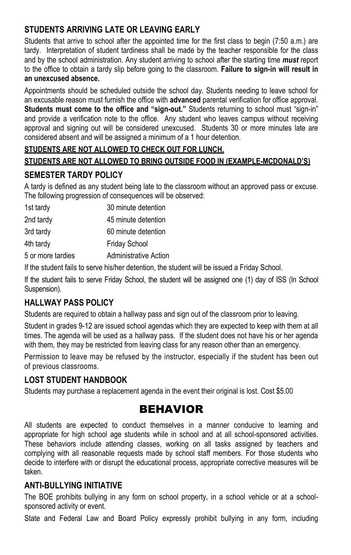### **STUDENTS ARRIVING LATE OR LEAVING EARLY**

Students that arrive to school after the appointed time for the first class to begin (7:50 a.m.) are tardy. Interpretation of student tardiness shall be made by the teacher responsible for the class and by the school administration. Any student arriving to school after the starting time *must* report to the office to obtain a tardy slip before going to the classroom. **Failure to sign-in will result in an unexcused absence.** 

Appointments should be scheduled outside the school day. Students needing to leave school for an excusable reason must furnish the office with **advanced** parental verification for office approval. **Students must come to the office and "sign-out."** Students returning to school must "sign-in" and provide a verification note to the office. Any student who leaves campus without receiving approval and signing out will be considered unexcused. Students 30 or more minutes late are considered absent and will be assigned a minimum of a 1 hour detention.

### **STUDENTS ARE NOT ALLOWED TO CHECK OUT FOR LUNCH. STUDENTS ARE NOT ALLOWED TO BRING OUTSIDE FOOD IN (EXAMPLE-MCDONALD'S)**

### **SEMESTER TARDY POLICY**

A tardy is defined as any student being late to the classroom without an approved pass or excuse. The following progression of consequences will be observed:

| 1st tardy         | 30 minute detention          |
|-------------------|------------------------------|
| 2nd tardy         | 45 minute detention          |
| 3rd tardy         | 60 minute detention          |
| 4th tardy         | <b>Friday School</b>         |
| 5 or more tardies | <b>Administrative Action</b> |

If the student fails to serve his/her detention, the student will be issued a Friday School.

If the student fails to serve Friday School, the student will be assigned one (1) day of ISS (In School Suspension).

### **HALLWAY PASS POLICY**

Students are required to obtain a hallway pass and sign out of the classroom prior to leaving.

Student in grades 9-12 are issued school agendas which they are expected to keep with them at all times. The agenda will be used as a hallway pass. If the student does not have his or her agenda with them, they may be restricted from leaving class for any reason other than an emergency.

Permission to leave may be refused by the instructor, especially if the student has been out of previous classrooms.

### **LOST STUDENT HANDBOOK**

Students may purchase a replacement agenda in the event their original is lost. Cost \$5.00

## BEHAVIOR

All students are expected to conduct themselves in a manner conducive to learning and appropriate for high school age students while in school and at all school-sponsored activities. These behaviors include attending classes, working on all tasks assigned by teachers and complying with all reasonable requests made by school staff members. For those students who decide to interfere with or disrupt the educational process, appropriate corrective measures will be taken.

### **ANTI-BULLYING INITIATIVE**

The BOE prohibits bullying in any form on school property, in a school vehicle or at a schoolsponsored activity or event.

State and Federal Law and Board Policy expressly prohibit bullying in any form, including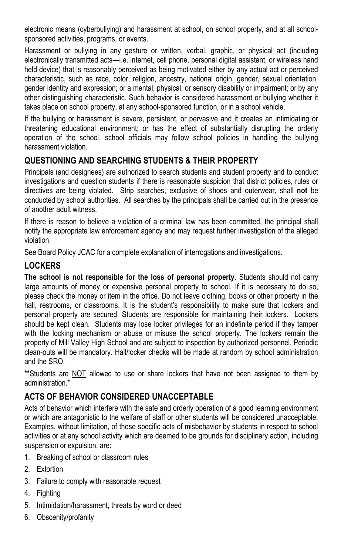electronic means (cyberbullying) and harassment at school, on school property, and at all schoolsponsored activities, programs, or events.

Harassment or bullying in any gesture or written, verbal, graphic, or physical act (including electronically transmitted acts—i.e. internet, cell phone, personal digital assistant, or wireless hand held device) that is reasonably perceived as being motivated either by any actual act or perceived characteristic, such as race, color, religion, ancestry, national origin, gender, sexual orientation, gender identity and expression; or a mental, physical, or sensory disability or impairment; or by any other distinguishing characteristic. Such behavior is considered harassment or bullying whether it takes place on school property, at any school-sponsored function, or in a school vehicle.

If the bullying or harassment is severe, persistent, or pervasive and it creates an intimidating or threatening educational environment; or has the effect of substantially disrupting the orderly operation of the school, school officials may follow school policies in handling the bullying harassment violation.

### **QUESTIONING AND SEARCHING STUDENTS & THEIR PROPERTY**

Principals (and designees) are authorized to search students and student property and to conduct investigations and question students if there is reasonable suspicion that district policies, rules or directives are being violated. Strip searches, exclusive of shoes and outerwear, shall **not** be conducted by school authorities. All searches by the principals shall be carried out in the presence of another adult witness.

If there is reason to believe a violation of a criminal law has been committed, the principal shall notify the appropriate law enforcement agency and may request further investigation of the alleged violation.

See Board Policy JCAC for a complete explanation of interrogations and investigations.

### **LOCKERS**

**The school is not responsible for the loss of personal property**. Students should not carry large amounts of money or expensive personal property to school. If it is necessary to do so, please check the money or item in the office. Do not leave clothing, books or other property in the hall, restrooms, or classrooms. It is the student's responsibility to make sure that lockers and personal property are secured. Students are responsible for maintaining their lockers. Lockers should be kept clean. Students may lose locker privileges for an indefinite period if they tamper with the locking mechanism or abuse or misuse the school property. The lockers remain the property of Mill Valley High School and are subject to inspection by authorized personnel. Periodic clean-outs will be mandatory. Hall/locker checks will be made at random by school administration and the SRO.

\*\*Students are NOT allowed to use or share lockers that have not been assigned to them by administration.\*

### **ACTS OF BEHAVIOR CONSIDERED UNACCEPTABLE**

Acts of behavior which interfere with the safe and orderly operation of a good learning environment or which are antagonistic to the welfare of staff or other students will be considered unacceptable. Examples, without limitation, of those specific acts of misbehavior by students in respect to school activities or at any school activity which are deemed to be grounds for disciplinary action, including suspension or expulsion, are:

- 1. Breaking of school or classroom rules
- 2. Extortion
- 3. Failure to comply with reasonable request
- 4. Fighting
- 5. Intimidation/harassment, threats by word or deed
- 6. Obscenity/profanity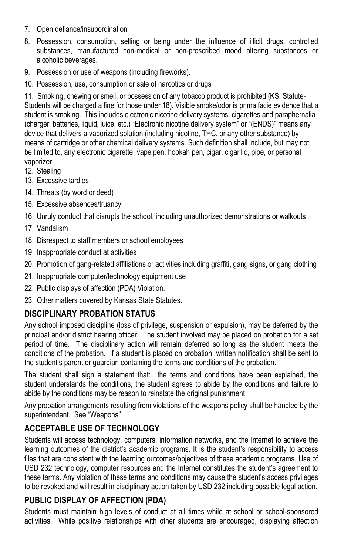- 7. Open defiance/insubordination
- 8. Possession, consumption, selling or being under the influence of illicit drugs, controlled substances, manufactured non-medical or non-prescribed mood altering substances or alcoholic beverages.
- 9. Possession or use of weapons (including fireworks).
- 10. Possession, use, consumption or sale of narcotics or drugs

11. Smoking, chewing or smell, or possession of any tobacco product is prohibited (KS. Statute-Students will be charged a fine for those under 18). Visible smoke/odor is prima facie evidence that a student is smoking. This includes electronic nicotine delivery systems, cigarettes and paraphernalia (charger, batteries, liquid, juice, etc.) "Electronic nicotine delivery system" or "(ENDS)" means any device that delivers a vaporized solution (including nicotine, THC, or any other substance) by means of cartridge or other chemical delivery systems. Such definition shall include, but may not be limited to, any electronic cigarette, vape pen, hookah pen, cigar, cigarillo, pipe, or personal vaporizer.

- 12. Stealing
- 13. Excessive tardies
- 14. Threats (by word or deed)
- 15. Excessive absences/truancy
- 16. Unruly conduct that disrupts the school, including unauthorized demonstrations or walkouts
- 17. Vandalism
- 18. Disrespect to staff members or school employees
- 19. Inappropriate conduct at activities
- 20. Promotion of gang-related affiliations or activities including graffiti, gang signs, or gang clothing
- 21. Inappropriate computer/technology equipment use
- 22. Public displays of affection (PDA) Violation.
- 23. Other matters covered by Kansas State Statutes.

## **DISCIPLINARY PROBATION STATUS**

Any school imposed discipline (loss of privilege, suspension or expulsion), may be deferred by the principal and/or district hearing officer. The student involved may be placed on probation for a set period of time. The disciplinary action will remain deferred so long as the student meets the conditions of the probation. If a student is placed on probation, written notification shall be sent to the student's parent or guardian containing the terms and conditions of the probation.

The student shall sign a statement that: the terms and conditions have been explained, the student understands the conditions, the student agrees to abide by the conditions and failure to abide by the conditions may be reason to reinstate the original punishment.

Any probation arrangements resulting from violations of the weapons policy shall be handled by the superintendent. See "Weapons"

## **ACCEPTABLE USE OF TECHNOLOGY**

Students will access technology, computers, information networks, and the Internet to achieve the learning outcomes of the district's academic programs. It is the student's responsibility to access files that are consistent with the learning outcomes/objectives of these academic programs. Use of USD 232 technology, computer resources and the Internet constitutes the student's agreement to these terms. Any violation of these terms and conditions may cause the student's access privileges to be revoked and will result in disciplinary action taken by USD 232 including possible legal action.

### **PUBLIC DISPLAY OF AFFECTION (PDA)**

Students must maintain high levels of conduct at all times while at school or school-sponsored activities. While positive relationships with other students are encouraged, displaying affection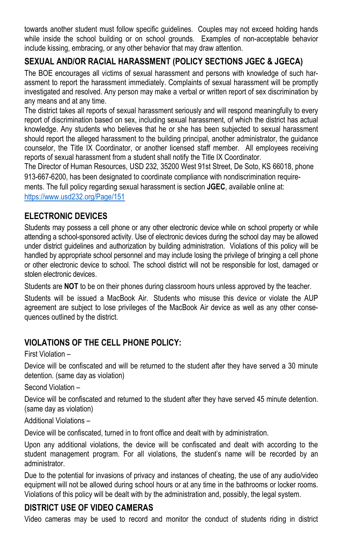towards another student must follow specific guidelines. Couples may not exceed holding hands while inside the school building or on school grounds. Examples of non-acceptable behavior include kissing, embracing, or any other behavior that may draw attention.

### **SEXUAL AND/OR RACIAL HARASSMENT (POLICY SECTIONS JGEC & JGECA)**

The BOE encourages all victims of sexual harassment and persons with knowledge of such harassment to report the harassment immediately. Complaints of sexual harassment will be promptly investigated and resolved. Any person may make a verbal or written report of sex discrimination by any means and at any time.

The district takes all reports of sexual harassment seriously and will respond meaningfully to every report of discrimination based on sex, including sexual harassment, of which the district has actual knowledge. Any students who believes that he or she has been subjected to sexual harassment should report the alleged harassment to the building principal, another administrator, the guidance counselor, the Title IX Coordinator, or another licensed staff member. All employees receiving reports of sexual harassment from a student shall notify the Title IX Coordinator.

The Director of Human Resources, USD 232, 35200 West 91st Street, De Soto, KS 66018, phone 913-667-6200, has been designated to coordinate compliance with nondiscrimination requirements. The full policy regarding sexual harassment is section **JGEC**, available online at: <https://www.usd232.org/Page/151>

#### **ELECTRONIC DEVICES**

Students may possess a cell phone or any other electronic device while on school property or while attending a school-sponsored activity. Use of electronic devices during the school day may be allowed under district guidelines and authorization by building administration. Violations of this policy will be handled by appropriate school personnel and may include losing the privilege of bringing a cell phone or other electronic device to school. The school district will not be responsible for lost, damaged or stolen electronic devices.

Students are **NOT** to be on their phones during classroom hours unless approved by the teacher.

Students will be issued a MacBook Air. Students who misuse this device or violate the AUP agreement are subject to lose privileges of the MacBook Air device as well as any other consequences outlined by the district.

### **VIOLATIONS OF THE CELL PHONE POLICY:**

First Violation –

Device will be confiscated and will be returned to the student after they have served a 30 minute detention. (same day as violation)

Second Violation –

Device will be confiscated and returned to the student after they have served 45 minute detention. (same day as violation)

Additional Violations –

Device will be confiscated, turned in to front office and dealt with by administration.

Upon any additional violations, the device will be confiscated and dealt with according to the student management program. For all violations, the student's name will be recorded by an administrator.

Due to the potential for invasions of privacy and instances of cheating, the use of any audio/video equipment will not be allowed during school hours or at any time in the bathrooms or locker rooms. Violations of this policy will be dealt with by the administration and, possibly, the legal system.

### **DISTRICT USE OF VIDEO CAMERAS**

Video cameras may be used to record and monitor the conduct of students riding in district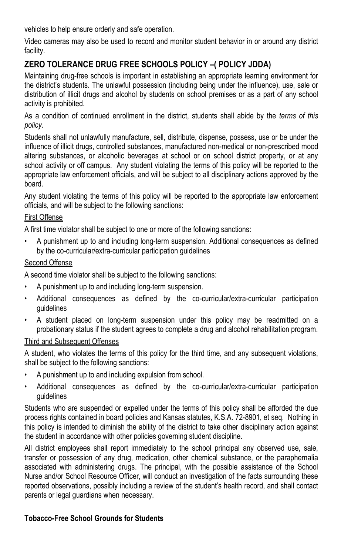vehicles to help ensure orderly and safe operation.

Video cameras may also be used to record and monitor student behavior in or around any district facility.

### **ZERO TOLERANCE DRUG FREE SCHOOLS POLICY –( POLICY JDDA)**

Maintaining drug-free schools is important in establishing an appropriate learning environment for the district's students. The unlawful possession (including being under the influence), use, sale or distribution of illicit drugs and alcohol by students on school premises or as a part of any school activity is prohibited.

As a condition of continued enrollment in the district, students shall abide by the *terms of this policy.*

Students shall not unlawfully manufacture, sell, distribute, dispense, possess, use or be under the influence of illicit drugs, controlled substances, manufactured non-medical or non-prescribed mood altering substances, or alcoholic beverages at school or on school district property, or at any school activity or off campus. Any student violating the terms of this policy will be reported to the appropriate law enforcement officials, and will be subject to all disciplinary actions approved by the board.

Any student violating the terms of this policy will be reported to the appropriate law enforcement officials, and will be subject to the following sanctions:

#### First Offense

A first time violator shall be subject to one or more of the following sanctions:

• A punishment up to and including long-term suspension. Additional consequences as defined by the co-curricular/extra-curricular participation guidelines

#### Second Offense

A second time violator shall be subject to the following sanctions:

- A punishment up to and including long-term suspension.
- Additional consequences as defined by the co-curricular/extra-curricular participation guidelines
- A student placed on long-term suspension under this policy may be readmitted on a probationary status if the student agrees to complete a drug and alcohol rehabilitation program.

#### Third and Subsequent Offenses

A student, who violates the terms of this policy for the third time, and any subsequent violations, shall be subject to the following sanctions:

- A punishment up to and including expulsion from school.
- Additional consequences as defined by the co-curricular/extra-curricular participation guidelines

Students who are suspended or expelled under the terms of this policy shall be afforded the due process rights contained in board policies and Kansas statutes, K.S.A. 72-8901, et seq. Nothing in this policy is intended to diminish the ability of the district to take other disciplinary action against the student in accordance with other policies governing student discipline.

All district employees shall report immediately to the school principal any observed use, sale, transfer or possession of any drug, medication, other chemical substance, or the paraphernalia associated with administering drugs. The principal, with the possible assistance of the School Nurse and/or School Resource Officer, will conduct an investigation of the facts surrounding these reported observations, possibly including a review of the student's health record, and shall contact parents or legal guardians when necessary.

#### **Tobacco-Free School Grounds for Students**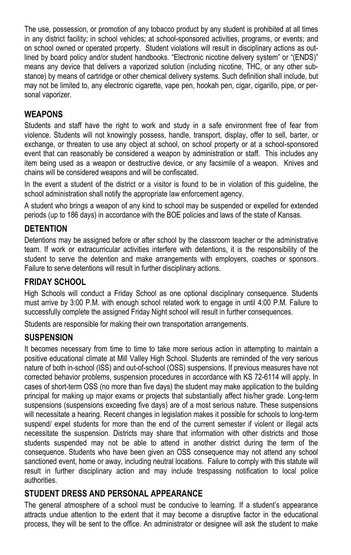The use, possession, or promotion of any tobacco product by any student is prohibited at all times in any district facility; in school vehicles; at school-sponsored activities, programs, or events; and on school owned or operated property. Student violations will result in disciplinary actions as outlined by board policy and/or student handbooks. "Electronic nicotine delivery system" or "(ENDS)" means any device that delivers a vaporized solution (including nicotine, THC, or any other substance) by means of cartridge or other chemical delivery systems. Such definition shall include, but may not be limited to, any electronic cigarette, vape pen, hookah pen, cigar, cigarillo, pipe, or personal vaporizer.

### **WEAPONS**

Students and staff have the right to work and study in a safe environment free of fear from violence. Students will not knowingly possess, handle, transport, display, offer to sell, barter, or exchange, or threaten to use any object at school, on school property or at a school-sponsored event that can reasonably be considered a weapon by administration or staff. This includes any item being used as a weapon or destructive device, or any facsimile of a weapon. Knives and chains will be considered weapons and will be confiscated.

In the event a student of the district or a visitor is found to be in violation of this guideline, the school administration shall notify the appropriate law enforcement agency.

A student who brings a weapon of any kind to school may be suspended or expelled for extended periods (up to 186 days) in accordance with the BOE policies and laws of the state of Kansas.

#### **DETENTION**

Detentions may be assigned before or after school by the classroom teacher or the administrative team. If work or extracurricular activities interfere with detentions, it is the responsibility of the student to serve the detention and make arrangements with employers, coaches or sponsors. Failure to serve detentions will result in further disciplinary actions.

#### **FRIDAY SCHOOL**

High Schools will conduct a Friday School as one optional disciplinary consequence. Students must arrive by 3:00 P.M. with enough school related work to engage in until 4:00 P.M. Failure to successfully complete the assigned Friday Night school will result in further consequences.

Students are responsible for making their own transportation arrangements.

#### **SUSPENSION**

It becomes necessary from time to time to take more serious action in attempting to maintain a positive educational climate at Mill Valley High School. Students are reminded of the very serious nature of both in-school (ISS) and out-of-school (OSS) suspensions. If previous measures have not corrected behavior problems, suspension procedures in accordance with KS 72-6114 will apply. In cases of short-term OSS (no more than five days) the student may make application to the building principal for making up major exams or projects that substantially affect his/her grade. Long-term suspensions (suspensions exceeding five days) are of a most serious nature. These suspensions will necessitate a hearing. Recent changes in legislation makes it possible for schools to long-term suspend/ expel students for more than the end of the current semester if violent or illegal acts necessitate the suspension. Districts may share that information with other districts and those students suspended may not be able to attend in another district during the term of the consequence. Students who have been given an OSS consequence may not attend any school sanctioned event, home or away, including neutral locations. Failure to comply with this statute will result in further disciplinary action and may include trespassing notification to local police authorities.

#### **STUDENT DRESS AND PERSONAL APPEARANCE**

The general atmosphere of a school must be conducive to learning. If a student's appearance attracts undue attention to the extent that it may become a disruptive factor in the educational process, they will be sent to the office. An administrator or designee will ask the student to make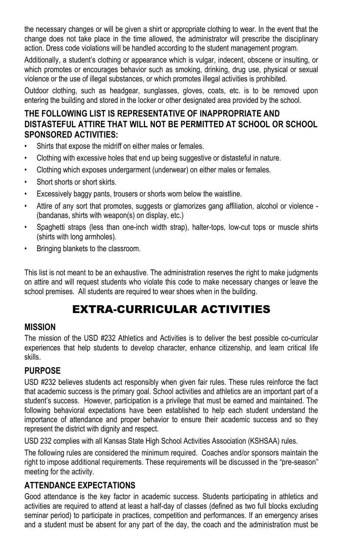the necessary changes or will be given a shirt or appropriate clothing to wear. In the event that the change does not take place in the time allowed, the administrator will prescribe the disciplinary action. Dress code violations will be handled according to the student management program.

Additionally, a student's clothing or appearance which is vulgar, indecent, obscene or insulting, or which promotes or encourages behavior such as smoking, drinking, drug use, physical or sexual violence or the use of illegal substances, or which promotes illegal activities is prohibited.

Outdoor clothing, such as headgear, sunglasses, gloves, coats, etc. is to be removed upon entering the building and stored in the locker or other designated area provided by the school.

### **THE FOLLOWING LIST IS REPRESENTATIVE OF INAPPROPRIATE AND DISTASTEFUL ATTIRE THAT WILL NOT BE PERMITTED AT SCHOOL OR SCHOOL SPONSORED ACTIVITIES:**

- Shirts that expose the midriff on either males or females.
- Clothing with excessive holes that end up being suggestive or distasteful in nature.
- Clothing which exposes undergarment (underwear) on either males or females.
- Short shorts or short skirts.
- Excessively baggy pants, trousers or shorts worn below the waistline.
- Attire of any sort that promotes, suggests or glamorizes gang affiliation, alcohol or violence (bandanas, shirts with weapon(s) on display, etc.)
- Spaghetti straps (less than one-inch width strap), halter-tops, low-cut tops or muscle shirts (shirts with long armholes).
- Bringing blankets to the classroom.

This list is not meant to be an exhaustive. The administration reserves the right to make judgments on attire and will request students who violate this code to make necessary changes or leave the school premises. All students are required to wear shoes when in the building.

# EXTRA-CURRICULAR ACTIVITIES

### **MISSION**

The mission of the USD #232 Athletics and Activities is to deliver the best possible co-curricular experiences that help students to develop character, enhance citizenship, and learn critical life skills.

#### **PURPOSE**

USD #232 believes students act responsibly when given fair rules. These rules reinforce the fact that academic success is the primary goal. School activities and athletics are an important part of a student's success. However, participation is a privilege that must be earned and maintained. The following behavioral expectations have been established to help each student understand the importance of attendance and proper behavior to ensure their academic success and so they represent the district with dignity and respect.

USD 232 complies with all Kansas State High School Activities Association (KSHSAA) rules.

The following rules are considered the minimum required. Coaches and/or sponsors maintain the right to impose additional requirements. These requirements will be discussed in the "pre-season" meeting for the activity.

### **ATTENDANCE EXPECTATIONS**

Good attendance is the key factor in academic success. Students participating in athletics and activities are required to attend at least a half-day of classes (defined as two full blocks excluding seminar period) to participate in practices, competition and performances. If an emergency arises and a student must be absent for any part of the day, the coach and the administration must be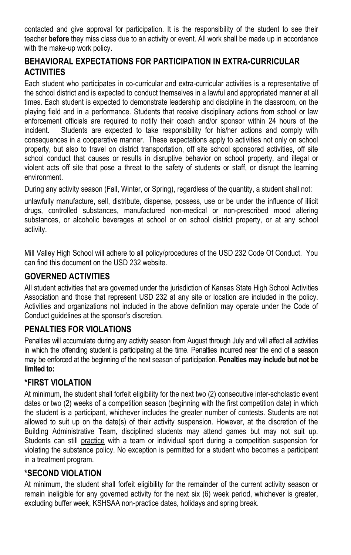contacted and give approval for participation. It is the responsibility of the student to see their teacher **before** they miss class due to an activity or event. All work shall be made up in accordance with the make-up work policy.

### **BEHAVIORAL EXPECTATIONS FOR PARTICIPATION IN EXTRA-CURRICULAR ACTIVITIES**

Each student who participates in co-curricular and extra-curricular activities is a representative of the school district and is expected to conduct themselves in a lawful and appropriated manner at all times. Each student is expected to demonstrate leadership and discipline in the classroom, on the playing field and in a performance. Students that receive disciplinary actions from school or law enforcement officials are required to notify their coach and/or sponsor within 24 hours of the incident. Students are expected to take responsibility for his/her actions and comply with consequences in a cooperative manner. These expectations apply to activities not only on school property, but also to travel on district transportation, off site school sponsored activities, off site school conduct that causes or results in disruptive behavior on school property, and illegal or violent acts off site that pose a threat to the safety of students or staff, or disrupt the learning environment.

During any activity season (Fall, Winter, or Spring), regardless of the quantity, a student shall not:

unlawfully manufacture, sell, distribute, dispense, possess, use or be under the influence of illicit drugs, controlled substances, manufactured non-medical or non-prescribed mood altering substances, or alcoholic beverages at school or on school district property, or at any school activity.

Mill Valley High School will adhere to all policy/procedures of the USD 232 Code Of Conduct. You can find this document on the USD 232 website.

### **GOVERNED ACTIVITIES**

All student activities that are governed under the jurisdiction of Kansas State High School Activities Association and those that represent USD 232 at any site or location are included in the policy. Activities and organizations not included in the above definition may operate under the Code of Conduct guidelines at the sponsor's discretion.

### **PENALTIES FOR VIOLATIONS**

Penalties will accumulate during any activity season from August through July and will affect all activities in which the offending student is participating at the time. Penalties incurred near the end of a season may be enforced at the beginning of the next season of participation. **Penalties may include but not be limited to:** 

### **\*FIRST VIOLATION**

At minimum, the student shall forfeit eligibility for the next two (2) consecutive inter-scholastic event dates or two (2) weeks of a competition season (beginning with the first competition date) in which the student is a participant, whichever includes the greater number of contests. Students are not allowed to suit up on the date(s) of their activity suspension. However, at the discretion of the Building Administrative Team, disciplined students may attend games but may not suit up. Students can still practice with a team or individual sport during a competition suspension for violating the substance policy. No exception is permitted for a student who becomes a participant in a treatment program.

#### **\*SECOND VIOLATION**

At minimum, the student shall forfeit eligibility for the remainder of the current activity season or remain ineligible for any governed activity for the next six (6) week period, whichever is greater, excluding buffer week, KSHSAA non-practice dates, holidays and spring break.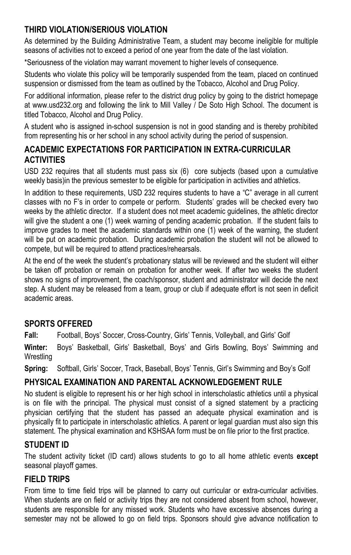### **THIRD VIOLATION/SERIOUS VIOLATION**

As determined by the Building Administrative Team, a student may become ineligible for multiple seasons of activities not to exceed a period of one year from the date of the last violation.

\*Seriousness of the violation may warrant movement to higher levels of consequence.

Students who violate this policy will be temporarily suspended from the team, placed on continued suspension or dismissed from the team as outlined by the Tobacco, Alcohol and Drug Policy.

For additional information, please refer to the district drug policy by going to the district homepage at www.usd232.org and following the link to Mill Valley / De Soto High School. The document is titled Tobacco, Alcohol and Drug Policy.

A student who is assigned in-school suspension is not in good standing and is thereby prohibited from representing his or her school in any school activity during the period of suspension.

## **ACADEMIC EXPECTATIONS FOR PARTICIPATION IN EXTRA-CURRICULAR ACTIVITIES**

USD 232 requires that all students must pass six (6) core subjects (based upon a cumulative weekly basis)in the previous semester to be eligible for participation in activities and athletics.

In addition to these requirements, USD 232 requires students to have a "C" average in all current classes with no F's in order to compete or perform. Students' grades will be checked every two weeks by the athletic director. If a student does not meet academic guidelines, the athletic director will give the student a one (1) week warning of pending academic probation. If the student fails to improve grades to meet the academic standards within one (1) week of the warning, the student will be put on academic probation. During academic probation the student will not be allowed to compete, but will be required to attend practices/rehearsals.

At the end of the week the student's probationary status will be reviewed and the student will either be taken off probation or remain on probation for another week. If after two weeks the student shows no signs of improvement, the coach/sponsor, student and administrator will decide the next step. A student may be released from a team, group or club if adequate effort is not seen in deficit academic areas.

#### **SPORTS OFFERED**

**Fall:** Football, Boys' Soccer, Cross-Country, Girls' Tennis, Volleyball, and Girls' Golf

**Winter:** Boys' Basketball, Girls' Basketball, Boys' and Girls Bowling, Boys' Swimming and **Wrestling** 

**Spring:** Softball, Girls' Soccer, Track, Baseball, Boys' Tennis, Girl's Swimming and Boy's Golf

### **PHYSICAL EXAMINATION AND PARENTAL ACKNOWLEDGEMENT RULE**

No student is eligible to represent his or her high school in interscholastic athletics until a physical is on file with the principal. The physical must consist of a signed statement by a practicing physician certifying that the student has passed an adequate physical examination and is physically fit to participate in interscholastic athletics. A parent or legal guardian must also sign this statement. The physical examination and KSHSAA form must be on file prior to the first practice.

### **STUDENT ID**

The student activity ticket (ID card) allows students to go to all home athletic events **except** seasonal playoff games.

#### **FIELD TRIPS**

From time to time field trips will be planned to carry out curricular or extra-curricular activities. When students are on field or activity trips they are not considered absent from school, however, students are responsible for any missed work. Students who have excessive absences during a semester may not be allowed to go on field trips. Sponsors should give advance notification to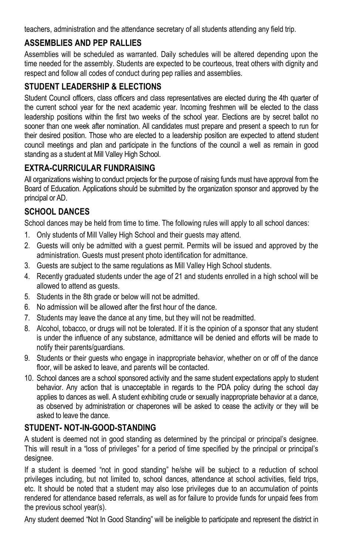teachers, administration and the attendance secretary of all students attending any field trip.

## **ASSEMBLIES AND PEP RALLIES**

Assemblies will be scheduled as warranted. Daily schedules will be altered depending upon the time needed for the assembly. Students are expected to be courteous, treat others with dignity and respect and follow all codes of conduct during pep rallies and assemblies.

## **STUDENT LEADERSHIP & ELECTIONS**

Student Council officers, class officers and class representatives are elected during the 4th quarter of the current school year for the next academic year. Incoming freshmen will be elected to the class leadership positions within the first two weeks of the school year. Elections are by secret ballot no sooner than one week after nomination. All candidates must prepare and present a speech to run for their desired position. Those who are elected to a leadership position are expected to attend student council meetings and plan and participate in the functions of the council a well as remain in good standing as a student at Mill Valley High School.

## **EXTRA-CURRICULAR FUNDRAISING**

All organizations wishing to conduct projects for the purpose of raising funds must have approval from the Board of Education. Applications should be submitted by the organization sponsor and approved by the principal or AD.

## **SCHOOL DANCES**

School dances may be held from time to time. The following rules will apply to all school dances:

- 1. Only students of Mill Valley High School and their guests may attend.
- 2. Guests will only be admitted with a guest permit. Permits will be issued and approved by the administration. Guests must present photo identification for admittance.
- 3. Guests are subject to the same regulations as Mill Valley High School students.
- 4. Recently graduated students under the age of 21 and students enrolled in a high school will be allowed to attend as guests.
- 5. Students in the 8th grade or below will not be admitted.
- 6. No admission will be allowed after the first hour of the dance.
- 7. Students may leave the dance at any time, but they will not be readmitted.
- 8. Alcohol, tobacco, or drugs will not be tolerated. If it is the opinion of a sponsor that any student is under the influence of any substance, admittance will be denied and efforts will be made to notify their parents/guardians.
- 9. Students or their guests who engage in inappropriate behavior, whether on or off of the dance floor, will be asked to leave, and parents will be contacted.
- 10. School dances are a school sponsored activity and the same student expectations apply to student behavior. Any action that is unacceptable in regards to the PDA policy during the school day applies to dances as well. A student exhibiting crude or sexually inappropriate behavior at a dance, as observed by administration or chaperones will be asked to cease the activity or they will be asked to leave the dance.

## **STUDENT- NOT-IN-GOOD-STANDING**

A student is deemed not in good standing as determined by the principal or principal's designee. This will result in a "loss of privileges" for a period of time specified by the principal or principal's designee.

If a student is deemed "not in good standing" he/she will be subject to a reduction of school privileges including, but not limited to, school dances, attendance at school activities, field trips, etc. It should be noted that a student may also lose privileges due to an accumulation of points rendered for attendance based referrals, as well as for failure to provide funds for unpaid fees from the previous school year(s).

Any student deemed "Not In Good Standing" will be ineligible to participate and represent the district in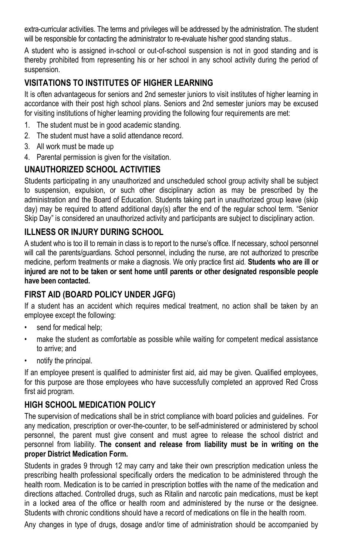extra-curricular activities. The terms and privileges will be addressed by the administration. The student will be responsible for contacting the administrator to re-evaluate his/her good standing status..

A student who is assigned in-school or out-of-school suspension is not in good standing and is thereby prohibited from representing his or her school in any school activity during the period of suspension.

## **VISITATIONS TO INSTITUTES OF HIGHER LEARNING**

It is often advantageous for seniors and 2nd semester juniors to visit institutes of higher learning in accordance with their post high school plans. Seniors and 2nd semester juniors may be excused for visiting institutions of higher learning providing the following four requirements are met:

- 1. The student must be in good academic standing.
- 2. The student must have a solid attendance record.
- 3. All work must be made up
- 4. Parental permission is given for the visitation.

## **UNAUTHORIZED SCHOOL ACTIVITIES**

Students participating in any unauthorized and unscheduled school group activity shall be subject to suspension, expulsion, or such other disciplinary action as may be prescribed by the administration and the Board of Education. Students taking part in unauthorized group leave (skip day) may be required to attend additional day(s) after the end of the regular school term. "Senior Skip Day" is considered an unauthorized activity and participants are subject to disciplinary action.

### **ILLNESS OR INJURY DURING SCHOOL**

A student who is too ill to remain in class is to report to the nurse's office. If necessary, school personnel will call the parents/guardians. School personnel, including the nurse, are not authorized to prescribe medicine, perform treatments or make a diagnosis. We only practice first aid. **Students who are ill or injured are not to be taken or sent home until parents or other designated responsible people have been contacted.**

### **FIRST AID (BOARD POLICY UNDER JGFG)**

If a student has an accident which requires medical treatment, no action shall be taken by an employee except the following:

- send for medical help;
- make the student as comfortable as possible while waiting for competent medical assistance to arrive; and
- notify the principal.

If an employee present is qualified to administer first aid, aid may be given. Qualified employees, for this purpose are those employees who have successfully completed an approved Red Cross first aid program.

### **HIGH SCHOOL MEDICATION POLICY**

The supervision of medications shall be in strict compliance with board policies and guidelines. For any medication, prescription or over-the-counter, to be self-administered or administered by school personnel, the parent must give consent and must agree to release the school district and personnel from liability. **The consent and release from liability must be in writing on the proper District Medication Form.**

Students in grades 9 through 12 may carry and take their own prescription medication unless the prescribing health professional specifically orders the medication to be administered through the health room. Medication is to be carried in prescription bottles with the name of the medication and directions attached. Controlled drugs, such as Ritalin and narcotic pain medications, must be kept in a locked area of the office or health room and administered by the nurse or the designee. Students with chronic conditions should have a record of medications on file in the health room.

Any changes in type of drugs, dosage and/or time of administration should be accompanied by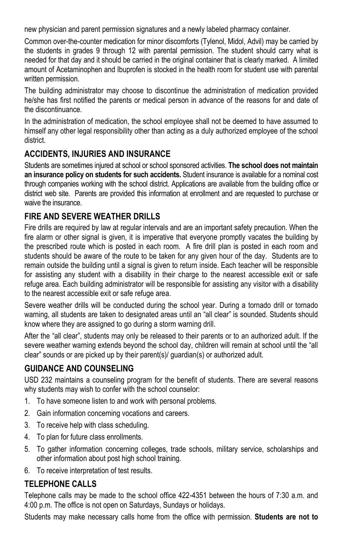new physician and parent permission signatures and a newly labeled pharmacy container.

Common over-the-counter medication for minor discomforts (Tylenol, Midol, Advil) may be carried by the students in grades 9 through 12 with parental permission. The student should carry what is needed for that day and it should be carried in the original container that is clearly marked. A limited amount of Acetaminophen and Ibuprofen is stocked in the health room for student use with parental written permission.

The building administrator may choose to discontinue the administration of medication provided he/she has first notified the parents or medical person in advance of the reasons for and date of the discontinuance.

In the administration of medication, the school employee shall not be deemed to have assumed to himself any other legal responsibility other than acting as a duly authorized employee of the school district.

### **ACCIDENTS, INJURIES AND INSURANCE**

Students are sometimes injured at school or school sponsored activities. **The school does not maintain an insurance policy on students for such accidents.** Student insurance is available for a nominal cost through companies working with the school district. Applications are available from the building office or district web site. Parents are provided this information at enrollment and are requested to purchase or waive the insurance.

### **FIRE AND SEVERE WEATHER DRILLS**

Fire drills are required by law at regular intervals and are an important safety precaution. When the fire alarm or other signal is given, it is imperative that everyone promptly vacates the building by the prescribed route which is posted in each room. A fire drill plan is posted in each room and students should be aware of the route to be taken for any given hour of the day. Students are to remain outside the building until a signal is given to return inside. Each teacher will be responsible for assisting any student with a disability in their charge to the nearest accessible exit or safe refuge area. Each building administrator will be responsible for assisting any visitor with a disability to the nearest accessible exit or safe refuge area.

Severe weather drills will be conducted during the school year. During a tornado drill or tornado warning, all students are taken to designated areas until an "all clear" is sounded. Students should know where they are assigned to go during a storm warning drill.

After the "all clear", students may only be released to their parents or to an authorized adult. If the severe weather warning extends beyond the school day, children will remain at school until the "all clear" sounds or are picked up by their parent(s)/ guardian(s) or authorized adult.

## **GUIDANCE AND COUNSELING**

USD 232 maintains a counseling program for the benefit of students. There are several reasons why students may wish to confer with the school counselor:

- 1. To have someone listen to and work with personal problems.
- 2. Gain information concerning vocations and careers.
- 3. To receive help with class scheduling.
- 4. To plan for future class enrollments.
- 5. To gather information concerning colleges, trade schools, military service, scholarships and other information about post high school training.
- 6. To receive interpretation of test results.

### **TELEPHONE CALLS**

Telephone calls may be made to the school office 422-4351 between the hours of 7:30 a.m. and 4:00 p.m. The office is not open on Saturdays, Sundays or holidays.

Students may make necessary calls home from the office with permission. **Students are not to**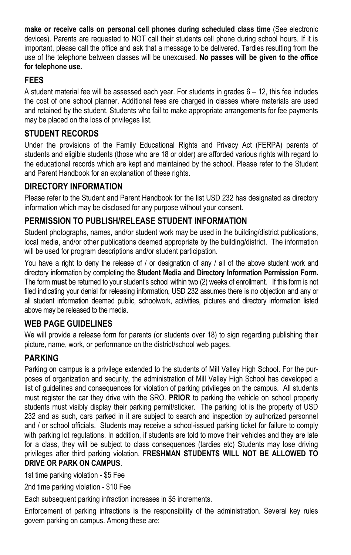**make or receive calls on personal cell phones during scheduled class time** (See electronic devices). Parents are requested to NOT call their students cell phone during school hours. If it is important, please call the office and ask that a message to be delivered. Tardies resulting from the use of the telephone between classes will be unexcused. **No passes will be given to the office for telephone use.**

### **FEES**

A student material fee will be assessed each year. For students in grades 6 – 12, this fee includes the cost of one school planner. Additional fees are charged in classes where materials are used and retained by the student. Students who fail to make appropriate arrangements for fee payments may be placed on the loss of privileges list.

### **STUDENT RECORDS**

Under the provisions of the Family Educational Rights and Privacy Act (FERPA) parents of students and eligible students (those who are 18 or older) are afforded various rights with regard to the educational records which are kept and maintained by the school. Please refer to the Student and Parent Handbook for an explanation of these rights.

## **DIRECTORY INFORMATION**

Please refer to the Student and Parent Handbook for the list USD 232 has designated as directory information which may be disclosed for any purpose without your consent.

### **PERMISSION TO PUBLISH/RELEASE STUDENT INFORMATION**

Student photographs, names, and/or student work may be used in the building/district publications, local media, and/or other publications deemed appropriate by the building/district. The information will be used for program descriptions and/or student participation.

You have a right to deny the release of / or designation of any / all of the above student work and directory information by completing the **Student Media and Directory Information Permission Form.** The form **must** be returned to your student's school within two (2) weeks of enrollment. If this form is not filed indicating your denial for releasing information, USD 232 assumes there is no objection and any or all student information deemed public, schoolwork, activities, pictures and directory information listed above may be released to the media.

## **WEB PAGE GUIDELINES**

We will provide a release form for parents (or students over 18) to sign regarding publishing their picture, name, work, or performance on the district/school web pages.

## **PARKING**

Parking on campus is a privilege extended to the students of Mill Valley High School. For the purposes of organization and security, the administration of Mill Valley High School has developed a list of guidelines and consequences for violation of parking privileges on the campus. All students must register the car they drive with the SRO. **PRIOR** to parking the vehicle on school property students must visibly display their parking permit/sticker. The parking lot is the property of USD 232 and as such, cars parked in it are subject to search and inspection by authorized personnel and / or school officials. Students may receive a school-issued parking ticket for failure to comply with parking lot regulations. In addition, if students are told to move their vehicles and they are late for a class, they will be subject to class consequences (tardies etc) Students may lose driving privileges after third parking violation. **FRESHMAN STUDENTS WILL NOT BE ALLOWED TO DRIVE OR PARK ON CAMPUS**.

1st time parking violation - \$5 Fee

2nd time parking violation - \$10 Fee

Each subsequent parking infraction increases in \$5 increments.

Enforcement of parking infractions is the responsibility of the administration. Several key rules govern parking on campus. Among these are: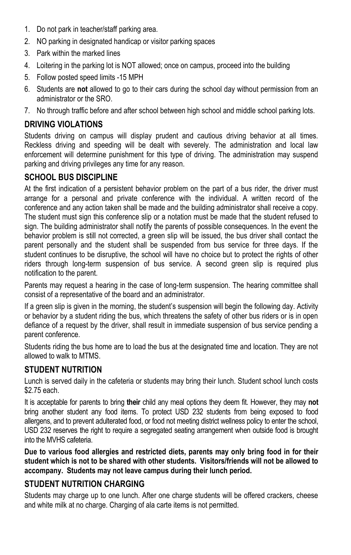- 1. Do not park in teacher/staff parking area.
- 2. NO parking in designated handicap or visitor parking spaces
- 3. Park within the marked lines
- 4. Loitering in the parking lot is NOT allowed; once on campus, proceed into the building
- 5. Follow posted speed limits -15 MPH
- 6. Students are **not** allowed to go to their cars during the school day without permission from an administrator or the SRO.
- 7. No through traffic before and after school between high school and middle school parking lots.

### **DRIVING VIOLATIONS**

Students driving on campus will display prudent and cautious driving behavior at all times. Reckless driving and speeding will be dealt with severely. The administration and local law enforcement will determine punishment for this type of driving. The administration may suspend parking and driving privileges any time for any reason.

### **SCHOOL BUS DISCIPLINE**

At the first indication of a persistent behavior problem on the part of a bus rider, the driver must arrange for a personal and private conference with the individual. A written record of the conference and any action taken shall be made and the building administrator shall receive a copy. The student must sign this conference slip or a notation must be made that the student refused to sign. The building administrator shall notify the parents of possible consequences. In the event the behavior problem is still not corrected, a green slip will be issued, the bus driver shall contact the parent personally and the student shall be suspended from bus service for three days. If the student continues to be disruptive, the school will have no choice but to protect the rights of other riders through long-term suspension of bus service. A second green slip is required plus notification to the parent.

Parents may request a hearing in the case of long-term suspension. The hearing committee shall consist of a representative of the board and an administrator.

If a green slip is given in the morning, the student's suspension will begin the following day. Activity or behavior by a student riding the bus, which threatens the safety of other bus riders or is in open defiance of a request by the driver, shall result in immediate suspension of bus service pending a parent conference.

Students riding the bus home are to load the bus at the designated time and location. They are not allowed to walk to MTMS.

### **STUDENT NUTRITION**

Lunch is served daily in the cafeteria or students may bring their lunch. Student school lunch costs \$2.75 each.

It is acceptable for parents to bring **their** child any meal options they deem fit. However, they may **not**  bring another student any food items. To protect USD 232 students from being exposed to food allergens, and to prevent adulterated food, or food not meeting district wellness policy to enter the school, USD 232 reserves the right to require a segregated seating arrangement when outside food is brought into the MVHS cafeteria.

**Due to various food allergies and restricted diets, parents may only bring food in for their student which is not to be shared with other students. Visitors/friends will not be allowed to accompany. Students may not leave campus during their lunch period.**

### **STUDENT NUTRITION CHARGING**

Students may charge up to one lunch. After one charge students will be offered crackers, cheese and white milk at no charge. Charging of ala carte items is not permitted.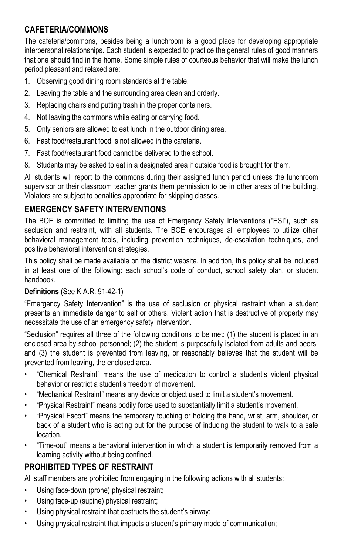### **CAFETERIA/COMMONS**

The cafeteria/commons, besides being a lunchroom is a good place for developing appropriate interpersonal relationships. Each student is expected to practice the general rules of good manners that one should find in the home. Some simple rules of courteous behavior that will make the lunch period pleasant and relaxed are:

- 1. Observing good dining room standards at the table.
- 2. Leaving the table and the surrounding area clean and orderly.
- 3. Replacing chairs and putting trash in the proper containers.
- 4. Not leaving the commons while eating or carrying food.
- 5. Only seniors are allowed to eat lunch in the outdoor dining area.
- 6. Fast food/restaurant food is not allowed in the cafeteria.
- 7. Fast food/restaurant food cannot be delivered to the school.
- 8. Students may be asked to eat in a designated area if outside food is brought for them.

All students will report to the commons during their assigned lunch period unless the lunchroom supervisor or their classroom teacher grants them permission to be in other areas of the building. Violators are subject to penalties appropriate for skipping classes.

### **EMERGENCY SAFETY INTERVENTIONS**

The BOE is committed to limiting the use of Emergency Safety Interventions ("ESI"), such as seclusion and restraint, with all students. The BOE encourages all employees to utilize other behavioral management tools, including prevention techniques, de-escalation techniques, and positive behavioral intervention strategies.

This policy shall be made available on the district website. In addition, this policy shall be included in at least one of the following: each school's code of conduct, school safety plan, or student handbook.

#### **Definitions** (See K.A.R. 91-42-1)

"Emergency Safety Intervention" is the use of seclusion or physical restraint when a student presents an immediate danger to self or others. Violent action that is destructive of property may necessitate the use of an emergency safety intervention.

"Seclusion" requires all three of the following conditions to be met: (1) the student is placed in an enclosed area by school personnel; (2) the student is purposefully isolated from adults and peers; and (3) the student is prevented from leaving, or reasonably believes that the student will be prevented from leaving, the enclosed area.

- "Chemical Restraint" means the use of medication to control a student's violent physical behavior or restrict a student's freedom of movement.
- "Mechanical Restraint" means any device or object used to limit a student's movement.
- "Physical Restraint" means bodily force used to substantially limit a student's movement.
- "Physical Escort" means the temporary touching or holding the hand, wrist, arm, shoulder, or back of a student who is acting out for the purpose of inducing the student to walk to a safe location.
- "Time-out" means a behavioral intervention in which a student is temporarily removed from a learning activity without being confined.

### **PROHIBITED TYPES OF RESTRAINT**

All staff members are prohibited from engaging in the following actions with all students:

- Using face-down (prone) physical restraint;
- Using face-up (supine) physical restraint;
- Using physical restraint that obstructs the student's airway;
- Using physical restraint that impacts a student's primary mode of communication;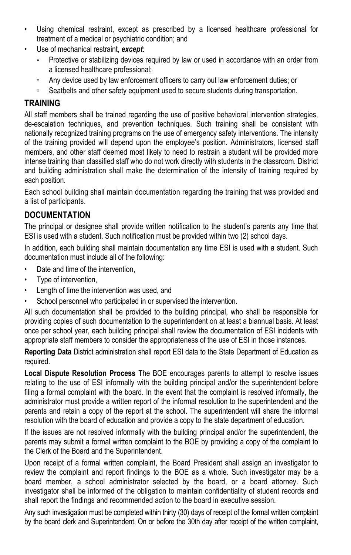- Using chemical restraint, except as prescribed by a licensed healthcare professional for treatment of a medical or psychiatric condition; and
- Use of mechanical restraint, *except*:
	- Protective or stabilizing devices required by law or used in accordance with an order from a licensed healthcare professional;
	- Any device used by law enforcement officers to carry out law enforcement duties; or
	- Seatbelts and other safety equipment used to secure students during transportation.

### **TRAINING**

All staff members shall be trained regarding the use of positive behavioral intervention strategies, de-escalation techniques, and prevention techniques. Such training shall be consistent with nationally recognized training programs on the use of emergency safety interventions. The intensity of the training provided will depend upon the employee's position. Administrators, licensed staff members, and other staff deemed most likely to need to restrain a student will be provided more intense training than classified staff who do not work directly with students in the classroom. District and building administration shall make the determination of the intensity of training required by each position.

Each school building shall maintain documentation regarding the training that was provided and a list of participants.

#### **DOCUMENTATION**

The principal or designee shall provide written notification to the student's parents any time that ESI is used with a student. Such notification must be provided within two (2) school days.

In addition, each building shall maintain documentation any time ESI is used with a student. Such documentation must include all of the following:

- Date and time of the intervention,
- Type of intervention,
- Length of time the intervention was used, and
- School personnel who participated in or supervised the intervention.

All such documentation shall be provided to the building principal, who shall be responsible for providing copies of such documentation to the superintendent on at least a biannual basis. At least once per school year, each building principal shall review the documentation of ESI incidents with appropriate staff members to consider the appropriateness of the use of ESI in those instances.

**Reporting Data** District administration shall report ESI data to the State Department of Education as required.

**Local Dispute Resolution Process** The BOE encourages parents to attempt to resolve issues relating to the use of ESI informally with the building principal and/or the superintendent before filing a formal complaint with the board. In the event that the complaint is resolved informally, the administrator must provide a written report of the informal resolution to the superintendent and the parents and retain a copy of the report at the school. The superintendent will share the informal resolution with the board of education and provide a copy to the state department of education.

If the issues are not resolved informally with the building principal and/or the superintendent, the parents may submit a formal written complaint to the BOE by providing a copy of the complaint to the Clerk of the Board and the Superintendent.

Upon receipt of a formal written complaint, the Board President shall assign an investigator to review the complaint and report findings to the BOE as a whole. Such investigator may be a board member, a school administrator selected by the board, or a board attorney. Such investigator shall be informed of the obligation to maintain confidentiality of student records and shall report the findings and recommended action to the board in executive session.

Any such investigation must be completed within thirty (30) days of receipt of the formal written complaint by the board clerk and Superintendent. On or before the 30th day after receipt of the written complaint,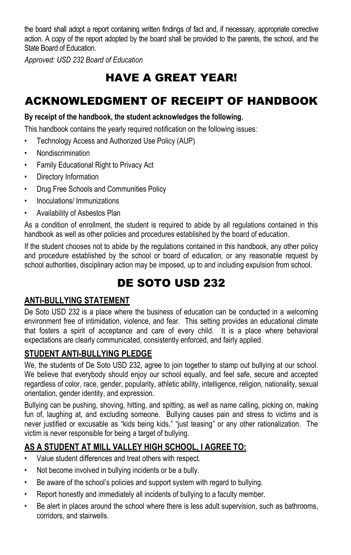the board shall adopt a report containing written findings of fact and, if necessary, appropriate corrective action. A copy of the report adopted by the board shall be provided to the parents, the school, and the State Board of Education.

*Approved: USD 232 Board of Education* 

# HAVE A GREAT YEAR!

# ACKNOWLEDGMENT OF RECEIPT OF HANDBOOK

#### **By receipt of the handbook, the student acknowledges the following.**

This handbook contains the yearly required notification on the following issues:

- Technology Access and Authorized Use Policy (AUP)
- Nondiscrimination
- Family Educational Right to Privacy Act
- Directory Information
- Drug Free Schools and Communities Policy
- Inoculations/ Immunizations
- Availability of Asbestos Plan

As a condition of enrollment, the student is required to abide by all regulations contained in this handbook as well as other policies and procedures established by the board of education.

If the student chooses not to abide by the regulations contained in this handbook, any other policy and procedure established by the school or board of education, or any reasonable request by school authorities, disciplinary action may be imposed, up to and including expulsion from school.

# DE SOTO USD 232

### **ANTI-BULLYING STATEMENT**

De Soto USD 232 is a place where the business of education can be conducted in a welcoming environment free of intimidation, violence, and fear. This setting provides an educational climate that fosters a spirit of acceptance and care of every child. It is a place where behavioral expectations are clearly communicated, consistently enforced, and fairly applied.

### **STUDENT ANTI-BULLYING PLEDGE**

We, the students of De Soto USD 232, agree to join together to stamp out bullying at our school. We believe that everybody should enjoy our school equally, and feel safe, secure and accepted regardless of color, race, gender, popularity, athletic ability, intelligence, religion, nationality, sexual orientation, gender identity, and expression.

Bullying can be pushing, shoving, hitting, and spitting, as well as name calling, picking on, making fun of, laughing at, and excluding someone. Bullying causes pain and stress to victims and is never justified or excusable as "kids being kids," "just teasing" or any other rationalization. The victim is never responsible for being a target of bullying.

## **AS A STUDENT AT MILL VALLEY HIGH SCHOOL, I AGREE TO:**

- Value student differences and treat others with respect.
- Not become involved in bullying incidents or be a bully.
- Be aware of the school's policies and support system with regard to bullying.
- Report honestly and immediately all incidents of bullying to a faculty member.
- Be alert in places around the school where there is less adult supervision, such as bathrooms, corridors, and stairwells.